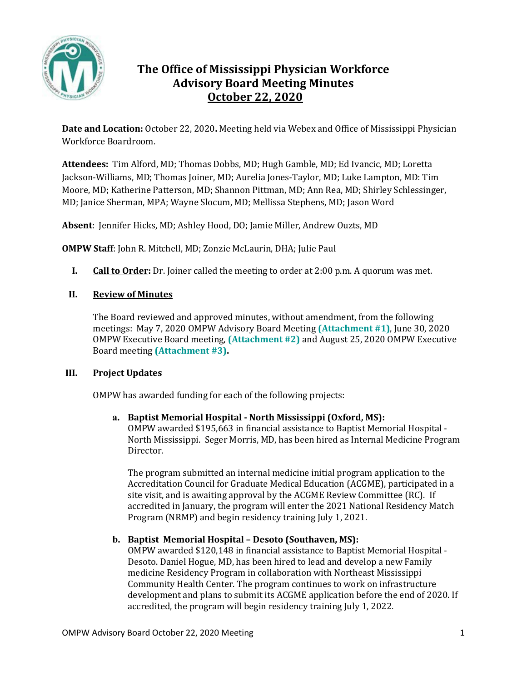

# **The Office of Mississippi Physician Workforce Advisory Board Meeting Minutes October 22, 2020**

**Date and Location:** October 22, 2020**.** Meeting held via Webex and Office of Mississippi Physician Workforce Boardroom.

**Attendees:** Tim Alford, MD; Thomas Dobbs, MD; Hugh Gamble, MD; Ed Ivancic, MD; Loretta Jackson-Williams, MD; Thomas Joiner, MD; Aurelia Jones-Taylor, MD; Luke Lampton, MD: Tim Moore, MD; Katherine Patterson, MD; Shannon Pittman, MD; Ann Rea, MD; Shirley Schlessinger, MD; Janice Sherman, MPA; Wayne Slocum, MD; Mellissa Stephens, MD; Jason Word

**Absent**: Jennifer Hicks, MD; Ashley Hood, DO; Jamie Miller, Andrew Ouzts, MD

**OMPW Staff**: John R. Mitchell, MD; Zonzie McLaurin, DHA; Julie Paul

**I. Call to Order:** Dr. Joiner called the meeting to order at 2:00 p.m. A quorum was met.

## **II. Review of Minutes**

The Board reviewed and approved minutes, without amendment, from the following meetings: May 7, 2020 OMPW Advisory Board Meeting **(Attachment #1)**, June 30, 2020 OMPW Executive Board meeting, **(Attachment #2)** and August 25, 2020 OMPW Executive Board meeting **(Attachment #3).** 

## **III. Project Updates**

OMPW has awarded funding for each of the following projects:

## **a. Baptist Memorial Hospital - North Mississippi (Oxford, MS):**  OMPW awarded \$195,663 in financial assistance to Baptist Memorial Hospital - North Mississippi. Seger Morris, MD, has been hired as Internal Medicine Program Director.

The program submitted an internal medicine initial program application to the Accreditation Council for Graduate Medical Education (ACGME), participated in a site visit, and is awaiting approval by the ACGME Review Committee (RC). If accredited in January, the program will enter the 2021 National Residency Match Program (NRMP) and begin residency training July 1, 2021.

# **b. Baptist Memorial Hospital – Desoto (Southaven, MS):**

OMPW awarded \$120,148 in financial assistance to Baptist Memorial Hospital - Desoto. Daniel Hogue, MD, has been hired to lead and develop a new Family medicine Residency Program in collaboration with Northeast Mississippi Community Health Center. The program continues to work on infrastructure development and plans to submit its ACGME application before the end of 2020. If accredited, the program will begin residency training July 1, 2022.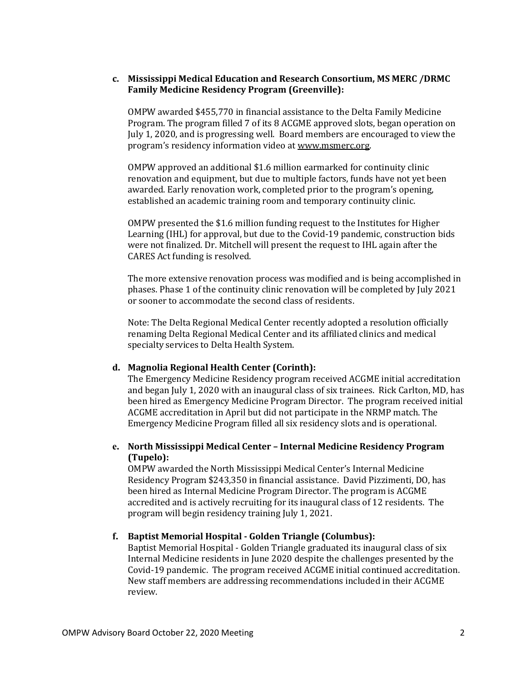## **c. Mississippi Medical Education and Research Consortium, MS MERC /DRMC Family Medicine Residency Program (Greenville):**

OMPW awarded \$455,770 in financial assistance to the Delta Family Medicine Program. The program filled 7 of its 8 ACGME approved slots, began operation on July 1, 2020, and is progressing well. Board members are encouraged to view the program's residency information video at [www.msmerc.org.](http://www.msmerc.org/) 

OMPW approved an additional \$1.6 million earmarked for continuity clinic renovation and equipment, but due to multiple factors, funds have not yet been awarded. Early renovation work, completed prior to the program's opening, established an academic training room and temporary continuity clinic.

OMPW presented the \$1.6 million funding request to the Institutes for Higher Learning (IHL) for approval, but due to the Covid-19 pandemic, construction bids were not finalized. Dr. Mitchell will present the request to IHL again after the CARES Act funding is resolved.

The more extensive renovation process was modified and is being accomplished in phases. Phase 1 of the continuity clinic renovation will be completed by July 2021 or sooner to accommodate the second class of residents.

Note: The Delta Regional Medical Center recently adopted a resolution officially renaming Delta Regional Medical Center and its affiliated clinics and medical specialty services to Delta Health System.

## **d. Magnolia Regional Health Center (Corinth):**

The Emergency Medicine Residency program received ACGME initial accreditation and began July 1, 2020 with an inaugural class of six trainees. Rick Carlton, MD, has been hired as Emergency Medicine Program Director. The program received initial ACGME accreditation in April but did not participate in the NRMP match. The Emergency Medicine Program filled all six residency slots and is operational.

## **e. North Mississippi Medical Center – Internal Medicine Residency Program (Tupelo):**

OMPW awarded the North Mississippi Medical Center's Internal Medicine Residency Program \$243,350 in financial assistance. David Pizzimenti, DO, has been hired as Internal Medicine Program Director. The program is ACGME accredited and is actively recruiting for its inaugural class of 12 residents. The program will begin residency training July 1, 2021.

## **f. Baptist Memorial Hospital - Golden Triangle (Columbus):**

Baptist Memorial Hospital - Golden Triangle graduated its inaugural class of six Internal Medicine residents in June 2020 despite the challenges presented by the Covid-19 pandemic. The program received ACGME initial continued accreditation. New staff members are addressing recommendations included in their ACGME review.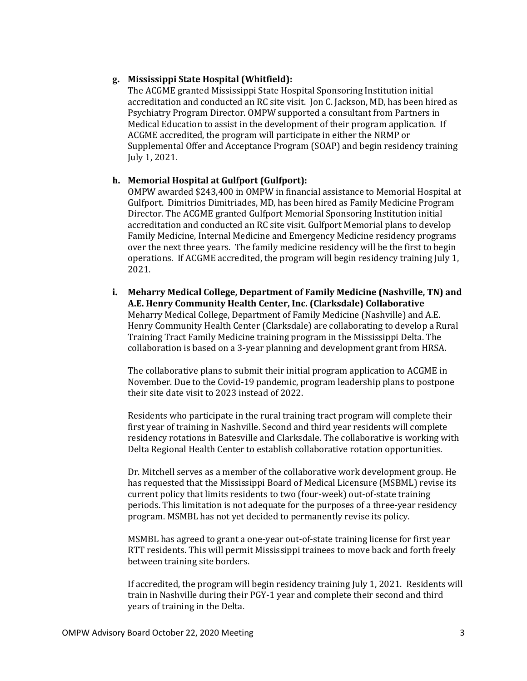## **g. Mississippi State Hospital (Whitfield):**

The ACGME granted Mississippi State Hospital Sponsoring Institution initial accreditation and conducted an RC site visit. Jon C. Jackson, MD, has been hired as Psychiatry Program Director. OMPW supported a consultant from Partners in Medical Education to assist in the development of their program application. If ACGME accredited, the program will participate in either the NRMP or Supplemental Offer and Acceptance Program (SOAP) and begin residency training July 1, 2021.

## **h. Memorial Hospital at Gulfport (Gulfport):**

OMPW awarded \$243,400 in OMPW in financial assistance to Memorial Hospital at Gulfport. Dimitrios Dimitriades, MD, has been hired as Family Medicine Program Director. The ACGME granted Gulfport Memorial Sponsoring Institution initial accreditation and conducted an RC site visit. Gulfport Memorial plans to develop Family Medicine, Internal Medicine and Emergency Medicine residency programs over the next three years. The family medicine residency will be the first to begin operations. If ACGME accredited, the program will begin residency training July 1, 2021.

## **i. Meharry Medical College, Department of Family Medicine (Nashville, TN) and A.E. Henry Community Health Center, Inc. (Clarksdale) Collaborative** Meharry Medical College, Department of Family Medicine (Nashville) and A.E. Henry Community Health Center (Clarksdale) are collaborating to develop a Rural Training Tract Family Medicine training program in the Mississippi Delta. The collaboration is based on a 3-year planning and development grant from HRSA.

The collaborative plans to submit their initial program application to ACGME in November. Due to the Covid-19 pandemic, program leadership plans to postpone their site date visit to 2023 instead of 2022.

Residents who participate in the rural training tract program will complete their first year of training in Nashville. Second and third year residents will complete residency rotations in Batesville and Clarksdale. The collaborative is working with Delta Regional Health Center to establish collaborative rotation opportunities.

Dr. Mitchell serves as a member of the collaborative work development group. He has requested that the Mississippi Board of Medical Licensure (MSBML) revise its current policy that limits residents to two (four-week) out-of-state training periods. This limitation is not adequate for the purposes of a three-year residency program. MSMBL has not yet decided to permanently revise its policy.

MSMBL has agreed to grant a one-year out-of-state training license for first year RTT residents. This will permit Mississippi trainees to move back and forth freely between training site borders.

If accredited, the program will begin residency training July 1, 2021. Residents will train in Nashville during their PGY-1 year and complete their second and third years of training in the Delta.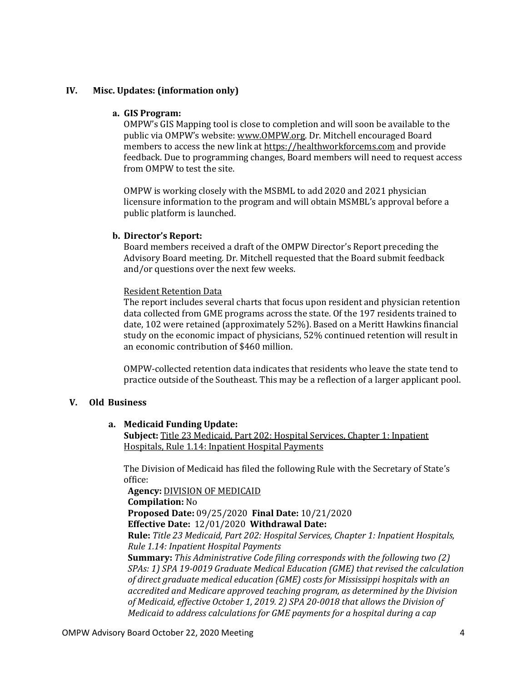## **IV. Misc. Updates: (information only)**

#### **a. GIS Program:**

OMPW's GIS Mapping tool is close to completion and will soon be available to the public via OMPW's website: [www.OMPW.org.](http://www.ompw.org/) Dr. Mitchell encouraged Board members to access the new link at [https://healthworkforcems.com](https://healthworkforcems.com/) and provide feedback. Due to programming changes, Board members will need to request access from OMPW to test the site.

OMPW is working closely with the MSBML to add 2020 and 2021 physician licensure information to the program and will obtain MSMBL's approval before a public platform is launched.

#### **b. Director's Report:**

Board members received a draft of the OMPW Director's Report preceding the Advisory Board meeting. Dr. Mitchell requested that the Board submit feedback and/or questions over the next few weeks.

#### Resident Retention Data

The report includes several charts that focus upon resident and physician retention data collected from GME programs across the state. Of the 197 residents trained to date, 102 were retained (approximately 52%). Based on a Meritt Hawkins financial study on the economic impact of physicians, 52% continued retention will result in an economic contribution of \$460 million.

OMPW-collected retention data indicates that residents who leave the state tend to practice outside of the Southeast. This may be a reflection of a larger applicant pool.

## **V. Old Business**

## **a. Medicaid Funding Update:**

**Subject:** Title 23 Medicaid, Part 202: Hospital Services, Chapter 1: Inpatient Hospitals, Rule 1.14: Inpatient Hospital Payments

The Division of Medicaid has filed the following Rule with the Secretary of State's office:

**Agency:** DIVISION OF MEDICAID **Compilation:** No **Proposed Date:** 09/25/2020 **Final Date:** 10/21/2020 **Effective Date:** 12/01/2020 **Withdrawal Date: Rule:** *Title 23 Medicaid, Part 202: Hospital Services, Chapter 1: Inpatient Hospitals, Rule 1.14: Inpatient Hospital Payments* **Summary:** *This Administrative Code filing corresponds with the following two (2) SPAs: 1) SPA 19-0019 Graduate Medical Education (GME) that revised the calculation of direct graduate medical education (GME) costs for Mississippi hospitals with an accredited and Medicare approved teaching program, as determined by the Division of Medicaid, effective October 1, 2019. 2) SPA 20-0018 that allows the Division of Medicaid to address calculations for GME payments for a hospital during a cap*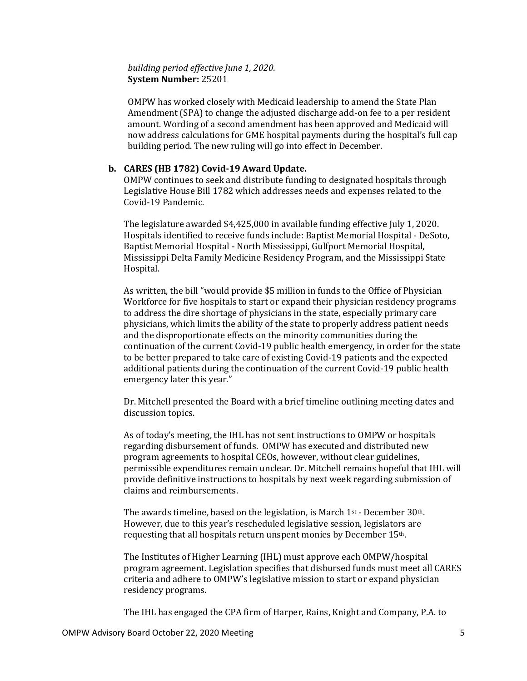## *building period effective June 1, 2020.* **System Number:** 25201

OMPW has worked closely with Medicaid leadership to amend the State Plan Amendment (SPA) to change the adjusted discharge add-on fee to a per resident amount. Wording of a second amendment has been approved and Medicaid will now address calculations for GME hospital payments during the hospital's full cap building period. The new ruling will go into effect in December.

#### **b. CARES (HB 1782) Covid-19 Award Update.**

OMPW continues to seek and distribute funding to designated hospitals through Legislative House Bill 1782 which addresses needs and expenses related to the Covid-19 Pandemic.

The legislature awarded \$4,425,000 in available funding effective July 1, 2020. Hospitals identified to receive funds include: Baptist Memorial Hospital - DeSoto, Baptist Memorial Hospital - North Mississippi, Gulfport Memorial Hospital, Mississippi Delta Family Medicine Residency Program, and the Mississippi State Hospital.

As written, the bill "would provide \$5 million in funds to the Office of Physician Workforce for five hospitals to start or expand their physician residency programs to address the dire shortage of physicians in the state, especially primary care physicians, which limits the ability of the state to properly address patient needs and the disproportionate effects on the minority communities during the continuation of the current Covid-19 public health emergency, in order for the state to be better prepared to take care of existing Covid-19 patients and the expected additional patients during the continuation of the current Covid-19 public health emergency later this year."

Dr. Mitchell presented the Board with a brief timeline outlining meeting dates and discussion topics.

As of today's meeting, the IHL has not sent instructions to OMPW or hospitals regarding disbursement of funds. OMPW has executed and distributed new program agreements to hospital CEOs, however, without clear guidelines, permissible expenditures remain unclear. Dr. Mitchell remains hopeful that IHL will provide definitive instructions to hospitals by next week regarding submission of claims and reimbursements.

The awards timeline, based on the legislation, is March 1st - December 30th. However, due to this year's rescheduled legislative session, legislators are requesting that all hospitals return unspent monies by December 15th.

The Institutes of Higher Learning (IHL) must approve each OMPW/hospital program agreement. Legislation specifies that disbursed funds must meet all CARES criteria and adhere to OMPW's legislative mission to start or expand physician residency programs.

The IHL has engaged the CPA firm of Harper, Rains, Knight and Company, P.A. to